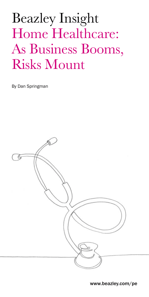# Beazley Insight Home Healthcare: As Business Booms, Risks Mount

By Dan Springman

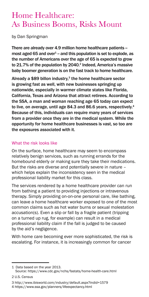## Home Healthcare: As Business Booms, Risks Mount

by Dan Springman

There are already over 4.9 million home healthcare patients most aged 65 and over $^4$  – and this population is set to explode, as the number of Americans over the age of 65 is expected to grow to 21.7% of the population by 2040.<sup>2</sup> Indeed, America's massive baby boomer generation is on the fast track to home healthcare.

Already a  $$89$  billon industry,<sup>3</sup> the home healthcare sector is growing fast as well, with new businesses springing up nationwide, especially in warmer climate states like Florida, California, Texas and Arizona that attract retirees. According to the SSA, a man and woman reaching age 65 today can expect to live, on average, until age 84.3 and 86.6 years, respectively.<sup>4</sup> Because of this, individuals can require many years of services from a provider once they are in the medical system. While the opportunity for home healthcare businesses is vast, so too are the exposures associated with it.

#### What the risk looks like

On the surface, home healthcare may seem to encompass relatively benign services, such as running errands for the homebound elderly or making sure they take their medications. But the risks are diverse and potentially severe in nature – which helps explain the inconsistency seen in the medical professional liability market for this class.

The services rendered by a home healthcare provider can run from bathing a patient to providing injections or intravenous therapy. Simply providing on-on-one personal care, like bathing, can leave a home healthcare worker exposed to one of the most common claims such as hot water burns or sexual molestation accusation(s). Even a slip or fall by a fragile patient (tripping on a turned up rug, for example) can result in a medical professional liability claim if the fall is judged to be caused by the aid's negligence.

With home care becoming ever more sophisticated, the risk is escalating. For instance, it is increasingly common for cancer

<sup>1</sup> Data based on the year 2013. Source: https://www.cdc.gov/nchs/fastats/home-health-care.html

<sup>2</sup> U.S. Census

<sup>3</sup> http://www.ibisworld.com/industry/default.aspx?indid=1579

<sup>4</sup> https://www.ssa.gov/planners/lifeexpectancy.html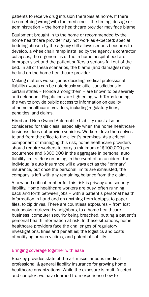patients to receive drug infusion therapies at home. If there is something wrong with the medicine – the timing, dosage or administration – the home healthcare provider may face blame.

Equipment brought in to the home or recommended by the home healthcare provider may not work as expected: special bedding chosen by the agency still allows serious bedsores to develop, a wheelchair ramp installed by the agency's contractor collapses, the ergonomics of the in-home hospital bed are improperly set and the patient suffers a serious fall out of the bed. In all of these scenarios, the blame (and damages) may be laid on the home healthcare provider.

Making matters worse, juries deciding medical professional liability awards can be notoriously volatile. Jurisdictions in certain states – Florida among them – are known to be severely anti-defendant. Regulations are tightening, with Texas leading the way to provide public access to information on quality of home healthcare providers, including regulatory fines, penalties, and claims.

Hired and Non-Owned Automobile Liability must also be considered for this class, especially when the home healthcare business does not provide vehicles. Workers drive themselves to and from the office to the client's premises. As a critical component of managing this risk, home healthcare providers should require workers to carry a minimum of \$100,000 per occurrence and \$300,000 in the aggregate in personal auto liability limits. Reason being, in the event of an accident, the individual's auto insurance will always act as the "primary" insurance, but once the personal limits are exhausted, the company is left with any remaining balance from the claim.

A new and critical frontier for this risk is privacy and security liability. Home healthcare workers are busy, often running back and forth between jobs – with a patient's personal health information in hand and on anything from laptops, to paper files, to zip drives. There are countless exposures – from lost notebooks retrieved by neighbors, to a home healthcare business' computer security being breached, putting a patient's personal health information at risk. In these situations, home healthcare providers face the challenges of regulatory investigations, fines and penalties; the logistics and costs of notifying breach victims, and potential liability.

#### Bringing coverage together with ease

Beazley provides state-of-the-art miscellaneous medical professional & general liability insurance for growing home healthcare organizations. While the exposure is multi-faceted and complex, we have learned from experience how to